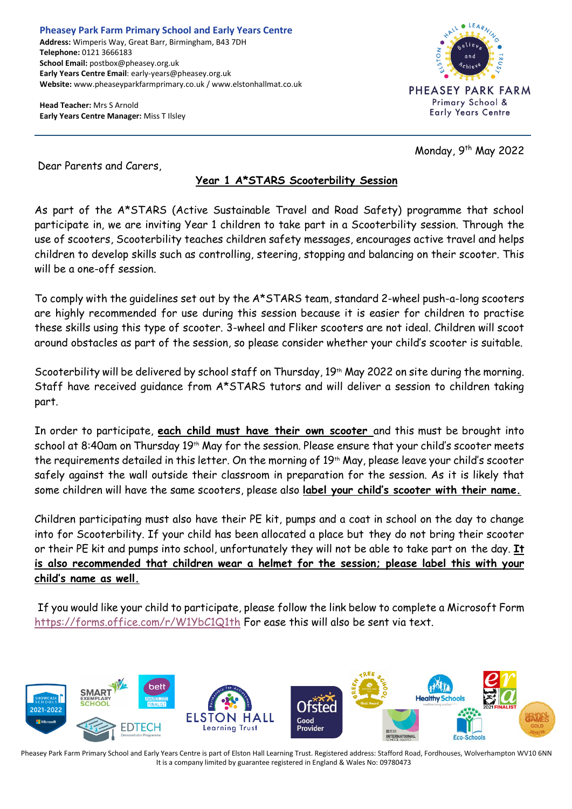**Pheasey Park Farm Primary School and Early Years Centre Address:** Wimperis Way, Great Barr, Birmingham, B43 7DH **Telephone:** 0121 3666183 **School Email:** postbox@pheasey.org.uk **Early Years Centre Email**: early-years@pheasey.org.uk **Website:** www.pheaseyparkfarmprimary.co.uk / www.elstonhallmat.co.uk

**Head Teacher:** Mrs S Arnold **Early Years Centre Manager:** Miss T Ilsley



Monday, 9<sup>th</sup> May 2022

Dear Parents and Carers,

## **Year 1 A\*STARS Scooterbility Session**

As part of the A\*STARS (Active Sustainable Travel and Road Safety) programme that school participate in, we are inviting Year 1 children to take part in a Scooterbility session. Through the use of scooters, Scooterbility teaches children safety messages, encourages active travel and helps children to develop skills such as controlling, steering, stopping and balancing on their scooter. This will be a one-off session.

To comply with the guidelines set out by the A\*STARS team, standard 2-wheel push-a-long scooters are highly recommended for use during this session because it is easier for children to practise these skills using this type of scooter. 3-wheel and Fliker scooters are not ideal. Children will scoot around obstacles as part of the session, so please consider whether your child's scooter is suitable.

Scooterbility will be delivered by school staff on Thursday, 19th May 2022 on site during the morning. Staff have received guidance from A\*STARS tutors and will deliver a session to children taking part.

In order to participate, **each child must have their own scooter** and this must be brought into school at 8:40am on Thursday 19<sup>th</sup> May for the session. Please ensure that your child's scooter meets the requirements detailed in this letter. On the morning of 19th May, please leave your child's scooter safely against the wall outside their classroom in preparation for the session. As it is likely that some children will have the same scooters, please also **label your child's scooter with their name.**

Children participating must also have their PE kit, pumps and a coat in school on the day to change into for Scooterbility. If your child has been allocated a place but they do not bring their scooter or their PE kit and pumps into school, unfortunately they will not be able to take part on the day. **It is also recommended that children wear a helmet for the session; please label this with your child's name as well.**

If you would like your child to participate, please follow the link below to complete a Microsoft Form <https://forms.office.com/r/W1YbC1Q1th> For ease this will also be sent via text.



Pheasey Park Farm Primary School and Early Years Centre is part of Elston Hall Learning Trust. Registered address: Stafford Road, Fordhouses, Wolverhampton WV10 6NN It is a company limited by guarantee registered in England & Wales No: 09780473